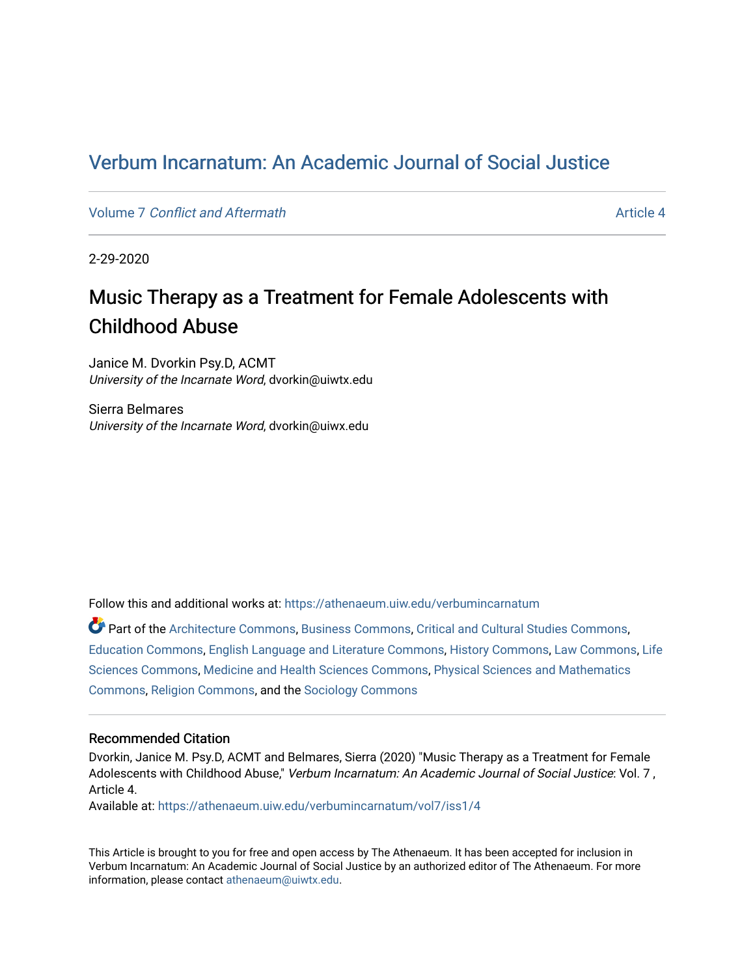# [Verbum Incarnatum: An Academic Journal of Social Justice](https://athenaeum.uiw.edu/verbumincarnatum)

Volume 7 [Conflict and Aftermath](https://athenaeum.uiw.edu/verbumincarnatum/vol7) Article 4

2-29-2020

# Music Therapy as a Treatment for Female Adolescents with Childhood Abuse

Janice M. Dvorkin Psy.D, ACMT University of the Incarnate Word, dvorkin@uiwtx.edu

Sierra Belmares University of the Incarnate Word, dvorkin@uiwx.edu

Follow this and additional works at: [https://athenaeum.uiw.edu/verbumincarnatum](https://athenaeum.uiw.edu/verbumincarnatum?utm_source=athenaeum.uiw.edu%2Fverbumincarnatum%2Fvol7%2Fiss1%2F4&utm_medium=PDF&utm_campaign=PDFCoverPages) 

Part of the [Architecture Commons,](http://network.bepress.com/hgg/discipline/773?utm_source=athenaeum.uiw.edu%2Fverbumincarnatum%2Fvol7%2Fiss1%2F4&utm_medium=PDF&utm_campaign=PDFCoverPages) [Business Commons](http://network.bepress.com/hgg/discipline/622?utm_source=athenaeum.uiw.edu%2Fverbumincarnatum%2Fvol7%2Fiss1%2F4&utm_medium=PDF&utm_campaign=PDFCoverPages), [Critical and Cultural Studies Commons](http://network.bepress.com/hgg/discipline/328?utm_source=athenaeum.uiw.edu%2Fverbumincarnatum%2Fvol7%2Fiss1%2F4&utm_medium=PDF&utm_campaign=PDFCoverPages), [Education Commons,](http://network.bepress.com/hgg/discipline/784?utm_source=athenaeum.uiw.edu%2Fverbumincarnatum%2Fvol7%2Fiss1%2F4&utm_medium=PDF&utm_campaign=PDFCoverPages) [English Language and Literature Commons](http://network.bepress.com/hgg/discipline/455?utm_source=athenaeum.uiw.edu%2Fverbumincarnatum%2Fvol7%2Fiss1%2F4&utm_medium=PDF&utm_campaign=PDFCoverPages), [History Commons](http://network.bepress.com/hgg/discipline/489?utm_source=athenaeum.uiw.edu%2Fverbumincarnatum%2Fvol7%2Fiss1%2F4&utm_medium=PDF&utm_campaign=PDFCoverPages), [Law Commons,](http://network.bepress.com/hgg/discipline/578?utm_source=athenaeum.uiw.edu%2Fverbumincarnatum%2Fvol7%2Fiss1%2F4&utm_medium=PDF&utm_campaign=PDFCoverPages) [Life](http://network.bepress.com/hgg/discipline/1016?utm_source=athenaeum.uiw.edu%2Fverbumincarnatum%2Fvol7%2Fiss1%2F4&utm_medium=PDF&utm_campaign=PDFCoverPages)  [Sciences Commons,](http://network.bepress.com/hgg/discipline/1016?utm_source=athenaeum.uiw.edu%2Fverbumincarnatum%2Fvol7%2Fiss1%2F4&utm_medium=PDF&utm_campaign=PDFCoverPages) [Medicine and Health Sciences Commons](http://network.bepress.com/hgg/discipline/648?utm_source=athenaeum.uiw.edu%2Fverbumincarnatum%2Fvol7%2Fiss1%2F4&utm_medium=PDF&utm_campaign=PDFCoverPages), [Physical Sciences and Mathematics](http://network.bepress.com/hgg/discipline/114?utm_source=athenaeum.uiw.edu%2Fverbumincarnatum%2Fvol7%2Fiss1%2F4&utm_medium=PDF&utm_campaign=PDFCoverPages)  [Commons](http://network.bepress.com/hgg/discipline/114?utm_source=athenaeum.uiw.edu%2Fverbumincarnatum%2Fvol7%2Fiss1%2F4&utm_medium=PDF&utm_campaign=PDFCoverPages), [Religion Commons,](http://network.bepress.com/hgg/discipline/538?utm_source=athenaeum.uiw.edu%2Fverbumincarnatum%2Fvol7%2Fiss1%2F4&utm_medium=PDF&utm_campaign=PDFCoverPages) and the [Sociology Commons](http://network.bepress.com/hgg/discipline/416?utm_source=athenaeum.uiw.edu%2Fverbumincarnatum%2Fvol7%2Fiss1%2F4&utm_medium=PDF&utm_campaign=PDFCoverPages) 

#### Recommended Citation

Dvorkin, Janice M. Psy.D, ACMT and Belmares, Sierra (2020) "Music Therapy as a Treatment for Female Adolescents with Childhood Abuse," Verbum Incarnatum: An Academic Journal of Social Justice: Vol. 7, Article 4.

Available at: [https://athenaeum.uiw.edu/verbumincarnatum/vol7/iss1/4](https://athenaeum.uiw.edu/verbumincarnatum/vol7/iss1/4?utm_source=athenaeum.uiw.edu%2Fverbumincarnatum%2Fvol7%2Fiss1%2F4&utm_medium=PDF&utm_campaign=PDFCoverPages) 

This Article is brought to you for free and open access by The Athenaeum. It has been accepted for inclusion in Verbum Incarnatum: An Academic Journal of Social Justice by an authorized editor of The Athenaeum. For more information, please contact [athenaeum@uiwtx.edu](mailto:athenaeum@uiwtx.edu).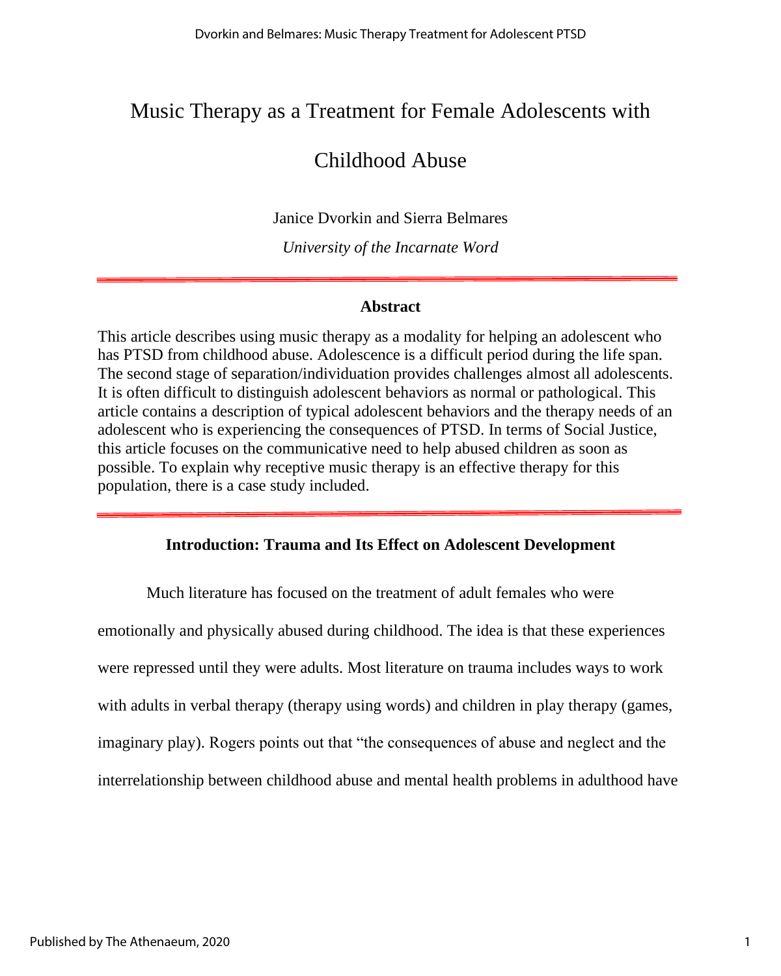# Music Therapy as a Treatment for Female Adolescents with

# Childhood Abuse

Janice Dvorkin and Sierra Belmares

*University of the Incarnate Word*

#### **Abstract**

This article describes using music therapy as a modality for helping an adolescent who has PTSD from childhood abuse. Adolescence is a difficult period during the life span. The second stage of separation/individuation provides challenges almost all adolescents. It is often difficult to distinguish adolescent behaviors as normal or pathological. This article contains a description of typical adolescent behaviors and the therapy needs of an adolescent who is experiencing the consequences of PTSD. In terms of Social Justice, this article focuses on the communicative need to help abused children as soon as possible. To explain why receptive music therapy is an effective therapy for this population, there is a case study included.

### **Introduction: Trauma and Its Effect on Adolescent Development**

Much literature has focused on the treatment of adult females who were emotionally and physically abused during childhood. The idea is that these experiences were repressed until they were adults. Most literature on trauma includes ways to work with adults in verbal therapy (therapy using words) and children in play therapy (games, imaginary play). Rogers points out that "the consequences of abuse and neglect and the interrelationship between childhood abuse and mental health problems in adulthood have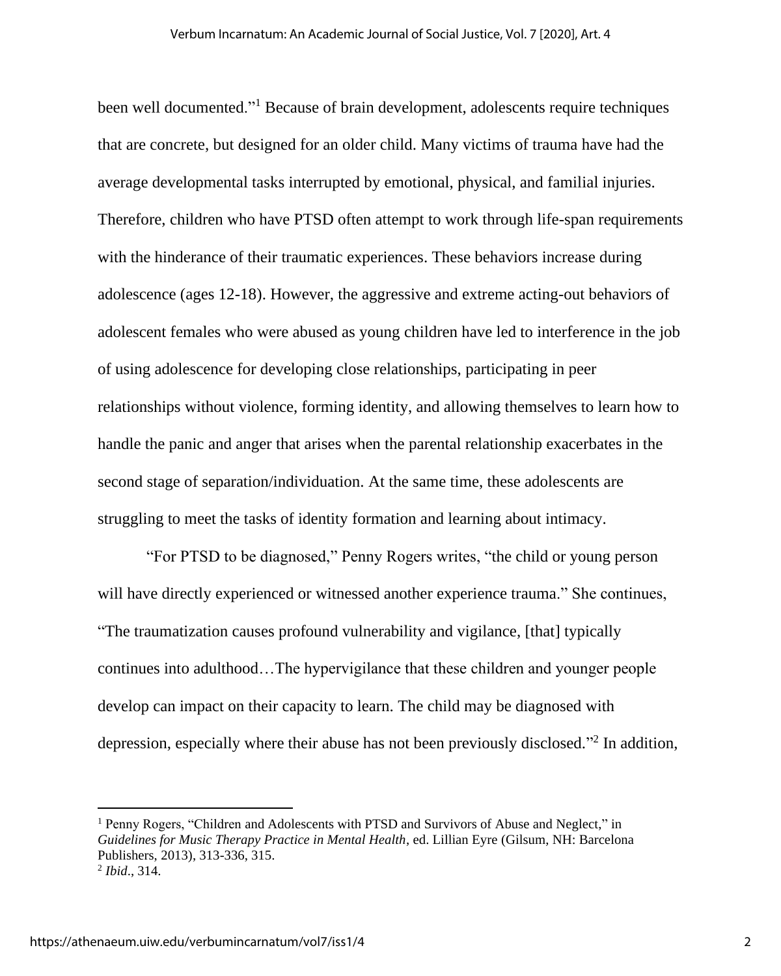been well documented."<sup>1</sup> Because of brain development, adolescents require techniques that are concrete, but designed for an older child. Many victims of trauma have had the average developmental tasks interrupted by emotional, physical, and familial injuries. Therefore, children who have PTSD often attempt to work through life-span requirements with the hinderance of their traumatic experiences. These behaviors increase during adolescence (ages 12-18). However, the aggressive and extreme acting-out behaviors of adolescent females who were abused as young children have led to interference in the job of using adolescence for developing close relationships, participating in peer relationships without violence, forming identity, and allowing themselves to learn how to handle the panic and anger that arises when the parental relationship exacerbates in the second stage of separation/individuation. At the same time, these adolescents are struggling to meet the tasks of identity formation and learning about intimacy.

"For PTSD to be diagnosed," Penny Rogers writes, "the child or young person will have directly experienced or witnessed another experience trauma." She continues, "The traumatization causes profound vulnerability and vigilance, [that] typically continues into adulthood…The hypervigilance that these children and younger people develop can impact on their capacity to learn. The child may be diagnosed with depression, especially where their abuse has not been previously disclosed."<sup>2</sup> In addition,

<sup>&</sup>lt;sup>1</sup> Penny Rogers, "Children and Adolescents with PTSD and Survivors of Abuse and Neglect," in *Guidelines for Music Therapy Practice in Mental Health*, ed. Lillian Eyre (Gilsum, NH: Barcelona Publishers, 2013), 313-336, 315. 2 *Ibid*., 314.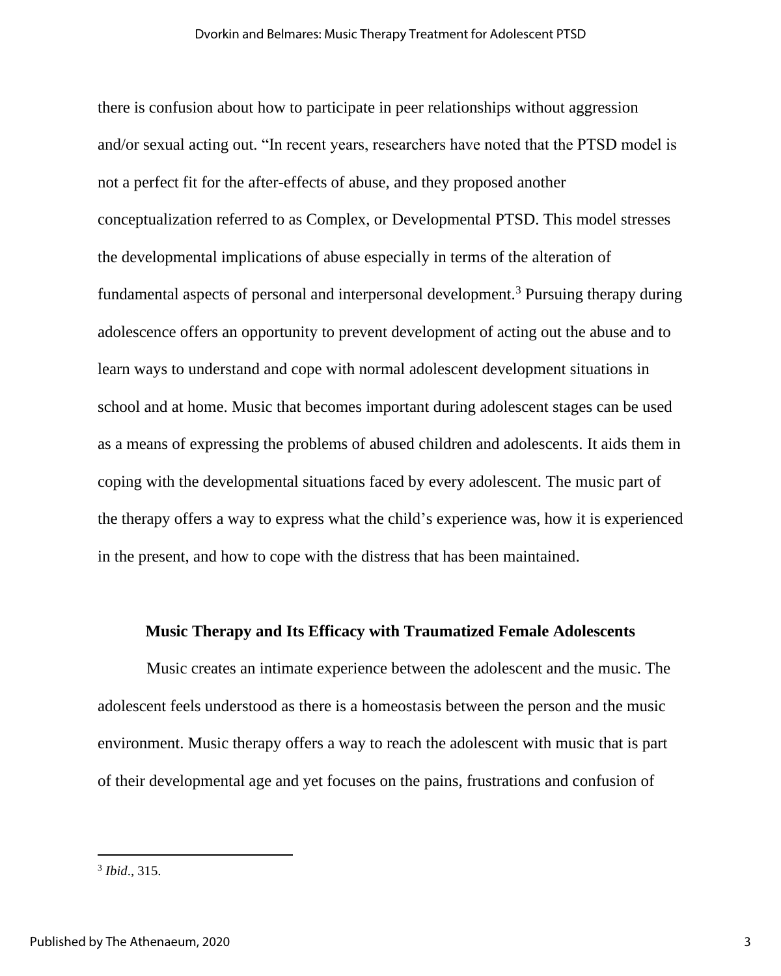there is confusion about how to participate in peer relationships without aggression and/or sexual acting out. "In recent years, researchers have noted that the PTSD model is not a perfect fit for the after-effects of abuse, and they proposed another conceptualization referred to as Complex, or Developmental PTSD. This model stresses the developmental implications of abuse especially in terms of the alteration of fundamental aspects of personal and interpersonal development.<sup>3</sup> Pursuing therapy during adolescence offers an opportunity to prevent development of acting out the abuse and to learn ways to understand and cope with normal adolescent development situations in school and at home. Music that becomes important during adolescent stages can be used as a means of expressing the problems of abused children and adolescents. It aids them in coping with the developmental situations faced by every adolescent. The music part of the therapy offers a way to express what the child's experience was, how it is experienced in the present, and how to cope with the distress that has been maintained.

#### **Music Therapy and Its Efficacy with Traumatized Female Adolescents**

Music creates an intimate experience between the adolescent and the music. The adolescent feels understood as there is a homeostasis between the person and the music environment. Music therapy offers a way to reach the adolescent with music that is part of their developmental age and yet focuses on the pains, frustrations and confusion of

<sup>3</sup> *Ibid*., 315.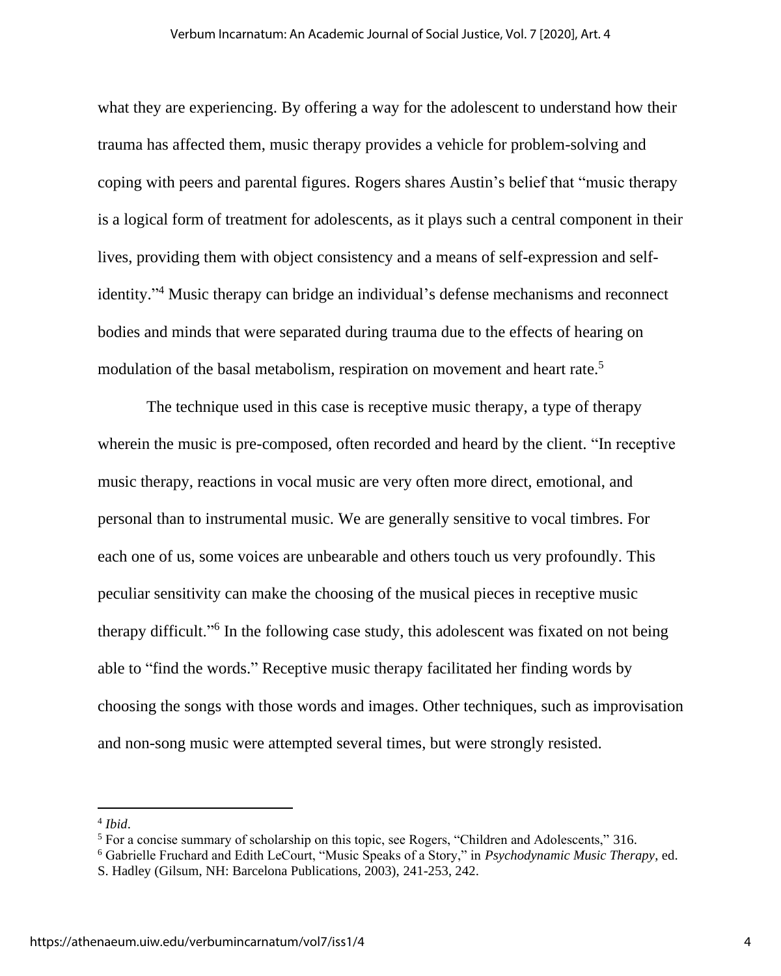what they are experiencing. By offering a way for the adolescent to understand how their trauma has affected them, music therapy provides a vehicle for problem-solving and coping with peers and parental figures. Rogers shares Austin's belief that "music therapy is a logical form of treatment for adolescents, as it plays such a central component in their lives, providing them with object consistency and a means of self-expression and selfidentity." <sup>4</sup> Music therapy can bridge an individual's defense mechanisms and reconnect bodies and minds that were separated during trauma due to the effects of hearing on modulation of the basal metabolism, respiration on movement and heart rate.<sup>5</sup>

The technique used in this case is receptive music therapy, a type of therapy wherein the music is pre-composed, often recorded and heard by the client. "In receptive music therapy, reactions in vocal music are very often more direct, emotional, and personal than to instrumental music. We are generally sensitive to vocal timbres. For each one of us, some voices are unbearable and others touch us very profoundly. This peculiar sensitivity can make the choosing of the musical pieces in receptive music therapy difficult."<sup>6</sup> In the following case study, this adolescent was fixated on not being able to "find the words." Receptive music therapy facilitated her finding words by choosing the songs with those words and images. Other techniques, such as improvisation and non-song music were attempted several times, but were strongly resisted.

<sup>4</sup> *Ibid*.

<sup>5</sup> For a concise summary of scholarship on this topic, see Rogers, "Children and Adolescents," 316.

<sup>6</sup> Gabrielle Fruchard and Edith LeCourt, "Music Speaks of a Story," in *Psychodynamic Music Therapy*, ed.

S. Hadley (Gilsum, NH: Barcelona Publications, 2003), 241-253, 242.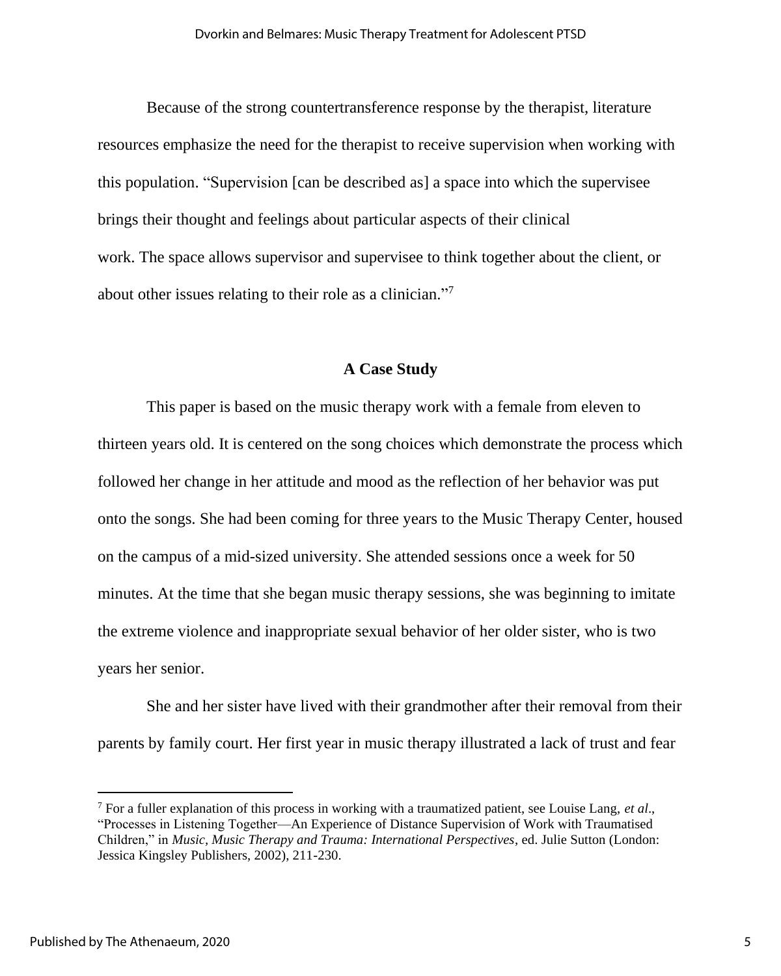Because of the strong countertransference response by the therapist, literature resources emphasize the need for the therapist to receive supervision when working with this population. "Supervision [can be described as] a space into which the supervisee brings their thought and feelings about particular aspects of their clinical work. The space allows supervisor and supervisee to think together about the client, or about other issues relating to their role as a clinician."<sup>7</sup>

#### **A Case Study**

This paper is based on the music therapy work with a female from eleven to thirteen years old. It is centered on the song choices which demonstrate the process which followed her change in her attitude and mood as the reflection of her behavior was put onto the songs. She had been coming for three years to the Music Therapy Center, housed on the campus of a mid-sized university. She attended sessions once a week for 50 minutes. At the time that she began music therapy sessions, she was beginning to imitate the extreme violence and inappropriate sexual behavior of her older sister, who is two years her senior.

She and her sister have lived with their grandmother after their removal from their parents by family court. Her first year in music therapy illustrated a lack of trust and fear

<sup>7</sup> For a fuller explanation of this process in working with a traumatized patient, see Louise Lang, *et al*., "Processes in Listening Together—An Experience of Distance Supervision of Work with Traumatised Children," in *Music, Music Therapy and Trauma: International Perspectives*, ed. Julie Sutton (London: Jessica Kingsley Publishers, 2002), 211-230.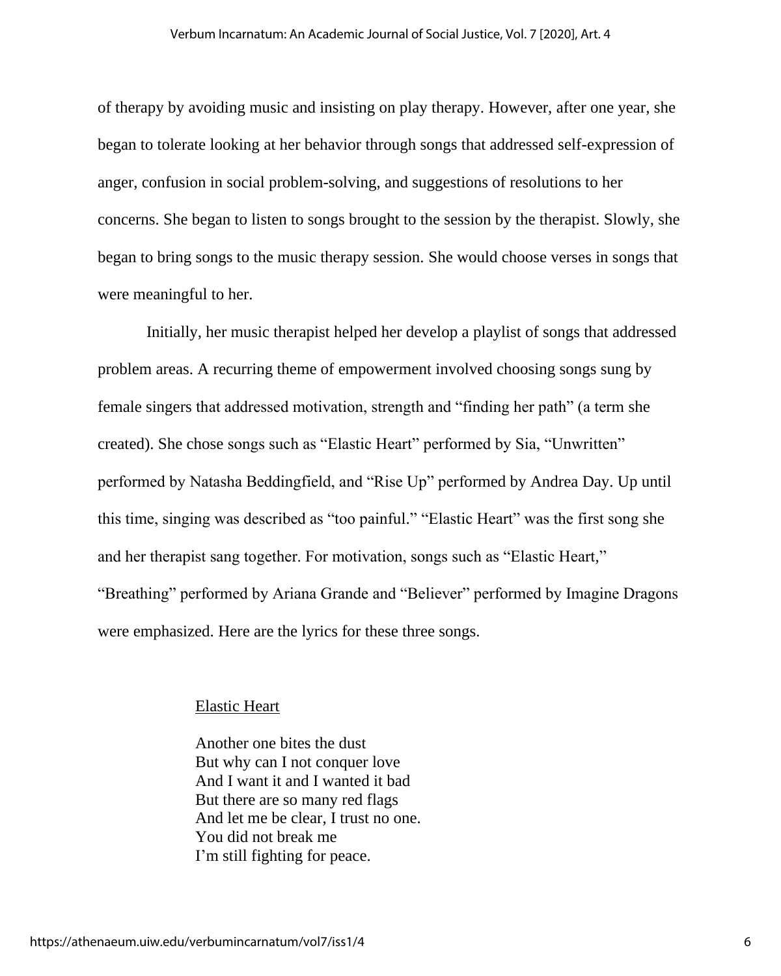of therapy by avoiding music and insisting on play therapy. However, after one year, she began to tolerate looking at her behavior through songs that addressed self-expression of anger, confusion in social problem-solving, and suggestions of resolutions to her concerns. She began to listen to songs brought to the session by the therapist. Slowly, she began to bring songs to the music therapy session. She would choose verses in songs that were meaningful to her.

Initially, her music therapist helped her develop a playlist of songs that addressed problem areas. A recurring theme of empowerment involved choosing songs sung by female singers that addressed motivation, strength and "finding her path" (a term she created). She chose songs such as "Elastic Heart" performed by Sia, "Unwritten" performed by Natasha Beddingfield, and "Rise Up" performed by Andrea Day. Up until this time, singing was described as "too painful." "Elastic Heart" was the first song she and her therapist sang together. For motivation, songs such as "Elastic Heart," "Breathing" performed by Ariana Grande and "Believer" performed by Imagine Dragons were emphasized. Here are the lyrics for these three songs.

#### Elastic Heart

Another one bites the dust But why can I not conquer love And I want it and I wanted it bad But there are so many red flags And let me be clear, I trust no one. You did not break me I'm still fighting for peace.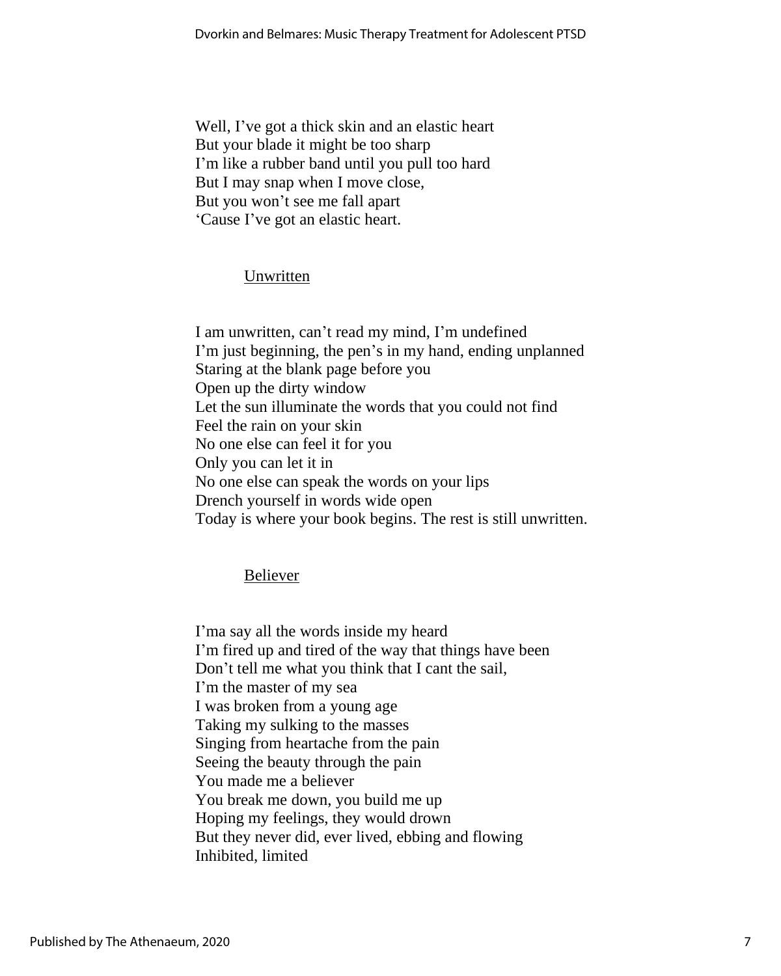Well, I've got a thick skin and an elastic heart But your blade it might be too sharp I'm like a rubber band until you pull too hard But I may snap when I move close, But you won't see me fall apart 'Cause I've got an elastic heart.

### Unwritten

I am unwritten, can't read my mind, I'm undefined I'm just beginning, the pen's in my hand, ending unplanned Staring at the blank page before you Open up the dirty window Let the sun illuminate the words that you could not find Feel the rain on your skin No one else can feel it for you Only you can let it in No one else can speak the words on your lips Drench yourself in words wide open Today is where your book begins. The rest is still unwritten.

# Believer

I'ma say all the words inside my heard I'm fired up and tired of the way that things have been Don't tell me what you think that I cant the sail, I'm the master of my sea I was broken from a young age Taking my sulking to the masses Singing from heartache from the pain Seeing the beauty through the pain You made me a believer You break me down, you build me up Hoping my feelings, they would drown But they never did, ever lived, ebbing and flowing Inhibited, limited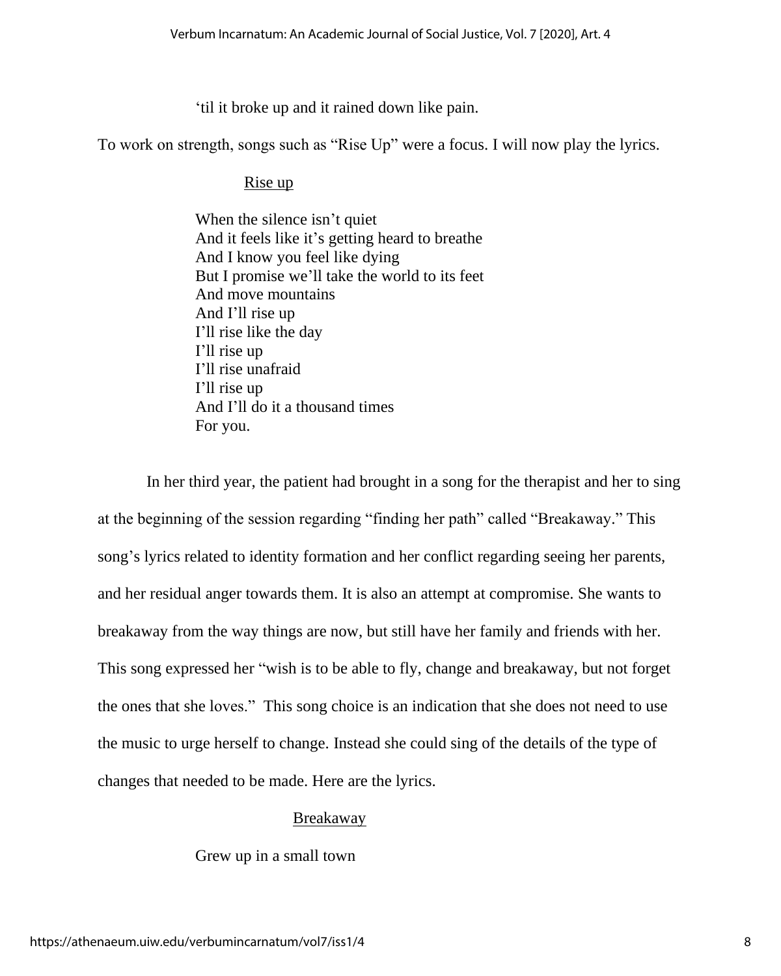'til it broke up and it rained down like pain.

To work on strength, songs such as "Rise Up" were a focus. I will now play the lyrics.

### Rise up

When the silence isn't quiet And it feels like it's getting heard to breathe And I know you feel like dying But I promise we'll take the world to its feet And move mountains And I'll rise up I'll rise like the day I'll rise up I'll rise unafraid I'll rise up And I'll do it a thousand times For you.

In her third year, the patient had brought in a song for the therapist and her to sing at the beginning of the session regarding "finding her path" called "Breakaway." This song's lyrics related to identity formation and her conflict regarding seeing her parents, and her residual anger towards them. It is also an attempt at compromise. She wants to breakaway from the way things are now, but still have her family and friends with her. This song expressed her "wish is to be able to fly, change and breakaway, but not forget the ones that she loves." This song choice is an indication that she does not need to use the music to urge herself to change. Instead she could sing of the details of the type of changes that needed to be made. Here are the lyrics.

# Breakaway

# Grew up in a small town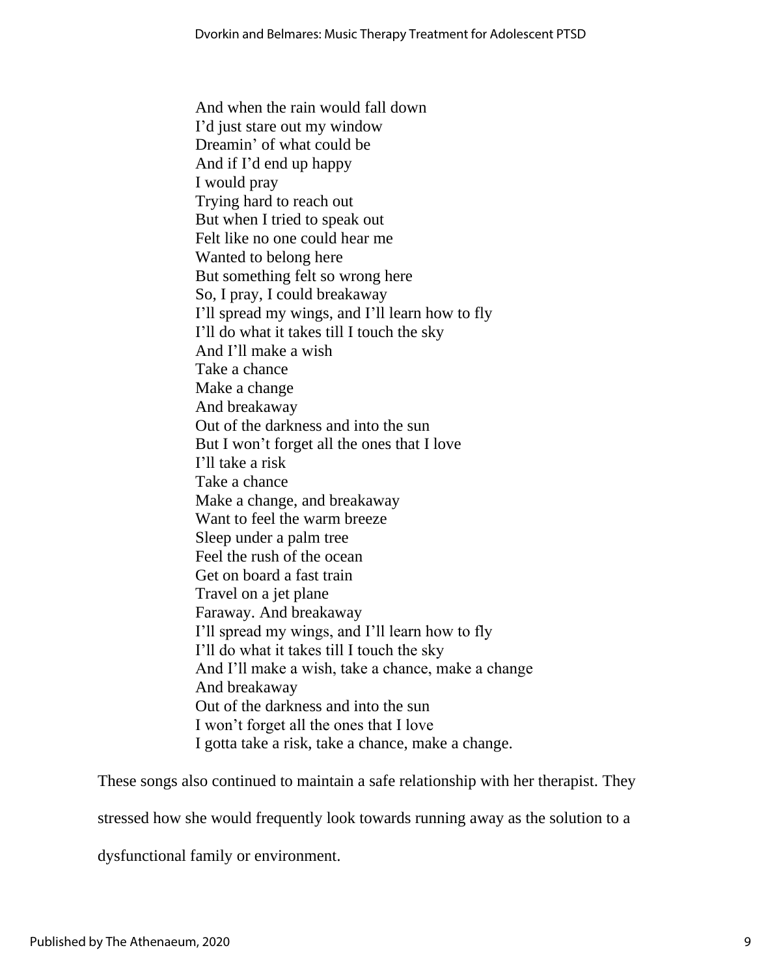And when the rain would fall down I'd just stare out my window Dreamin' of what could be And if I'd end up happy I would pray Trying hard to reach out But when I tried to speak out Felt like no one could hear me Wanted to belong here But something felt so wrong here So, I pray, I could breakaway I'll spread my wings, and I'll learn how to fly I'll do what it takes till I touch the sky And I'll make a wish Take a chance Make a change And breakaway Out of the darkness and into the sun But I won't forget all the ones that I love I'll take a risk Take a chance Make a change, and breakaway Want to feel the warm breeze Sleep under a palm tree Feel the rush of the ocean Get on board a fast train Travel on a jet plane Faraway. And breakaway I'll spread my wings, and I'll learn how to fly I'll do what it takes till I touch the sky And I'll make a wish, take a chance, make a change And breakaway Out of the darkness and into the sun I won't forget all the ones that I love I gotta take a risk, take a chance, make a change.

These songs also continued to maintain a safe relationship with her therapist. They

stressed how she would frequently look towards running away as the solution to a

dysfunctional family or environment.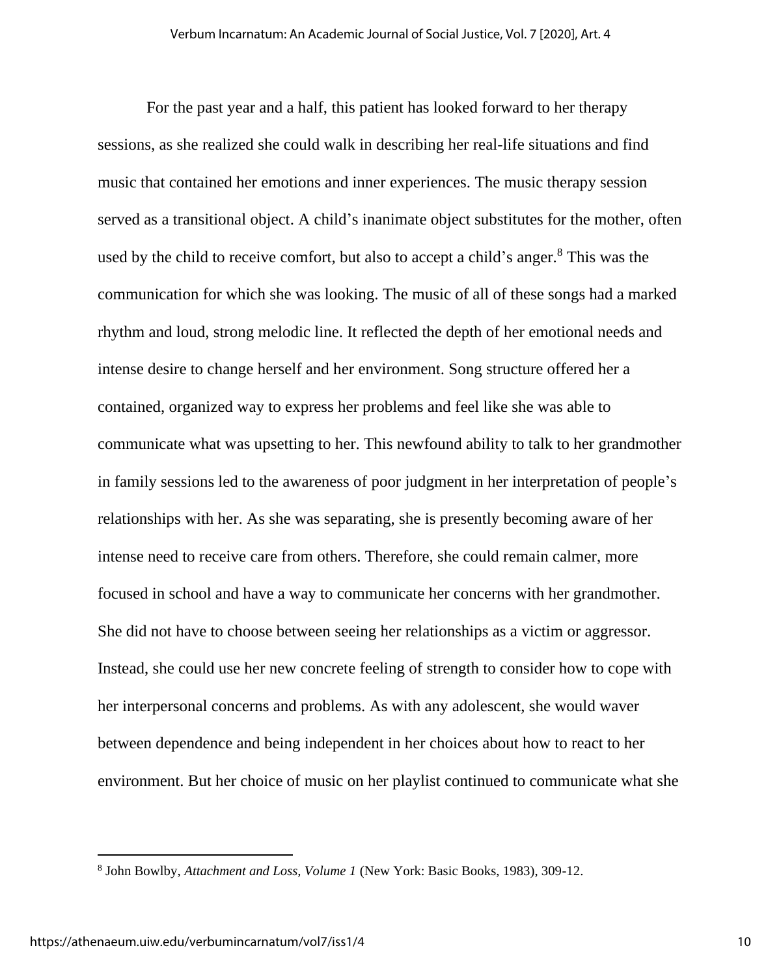For the past year and a half, this patient has looked forward to her therapy sessions, as she realized she could walk in describing her real-life situations and find music that contained her emotions and inner experiences. The music therapy session served as a transitional object. A child's inanimate object substitutes for the mother, often used by the child to receive comfort, but also to accept a child's anger.<sup>8</sup> This was the communication for which she was looking. The music of all of these songs had a marked rhythm and loud, strong melodic line. It reflected the depth of her emotional needs and intense desire to change herself and her environment. Song structure offered her a contained, organized way to express her problems and feel like she was able to communicate what was upsetting to her. This newfound ability to talk to her grandmother in family sessions led to the awareness of poor judgment in her interpretation of people's relationships with her. As she was separating, she is presently becoming aware of her intense need to receive care from others. Therefore, she could remain calmer, more focused in school and have a way to communicate her concerns with her grandmother. She did not have to choose between seeing her relationships as a victim or aggressor. Instead, she could use her new concrete feeling of strength to consider how to cope with her interpersonal concerns and problems. As with any adolescent, she would waver between dependence and being independent in her choices about how to react to her environment. But her choice of music on her playlist continued to communicate what she

<sup>8</sup> John Bowlby, *Attachment and Loss, Volume 1* (New York: Basic Books, 1983), 309-12.